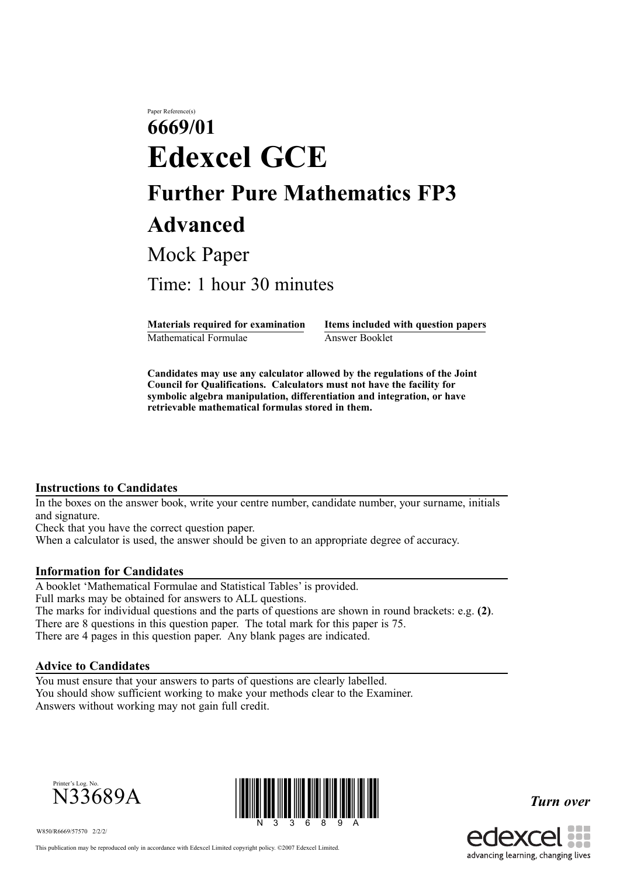# Paper Reference(s) **6669/01 Edexcel GCE Further Pure Mathematics FP3 Advanced** Mock Paper

Time: 1 hour 30 minutes

Mathematical Formulae Answer Booklet

**Materials required for examination Items included with question papers**

**Candidates may use any calculator allowed by the regulations of the Joint Council for Qualifications. Calculators must not have the facility for symbolic algebra manipulation, differentiation and integration, or have retrievable mathematical formulas stored in them.**

#### **Instructions to Candidates**

In the boxes on the answer book, write your centre number, candidate number, your surname, initials and signature.

Check that you have the correct question paper.

When a calculator is used, the answer should be given to an appropriate degree of accuracy.

#### **Information for Candidates**

A booklet 'Mathematical Formulae and Statistical Tables' is provided. Full marks may be obtained for answers to ALL questions. The marks for individual questions and the parts of questions are shown in round brackets: e.g. **(2)**. There are 8 questions in this question paper. The total mark for this paper is 75. There are 4 pages in this question paper. Any blank pages are indicated.

## **Advice to Candidates**

You must ensure that your answers to parts of questions are clearly labelled. You should show sufficient working to make your methods clear to the Examiner. Answers without working may not gain full credit.



W850/R6669/57570 2/2/2/



*Turn over*



This publication may be reproduced only in accordance with Edexcel Limited copyright policy. ©2007 Edexcel Limited.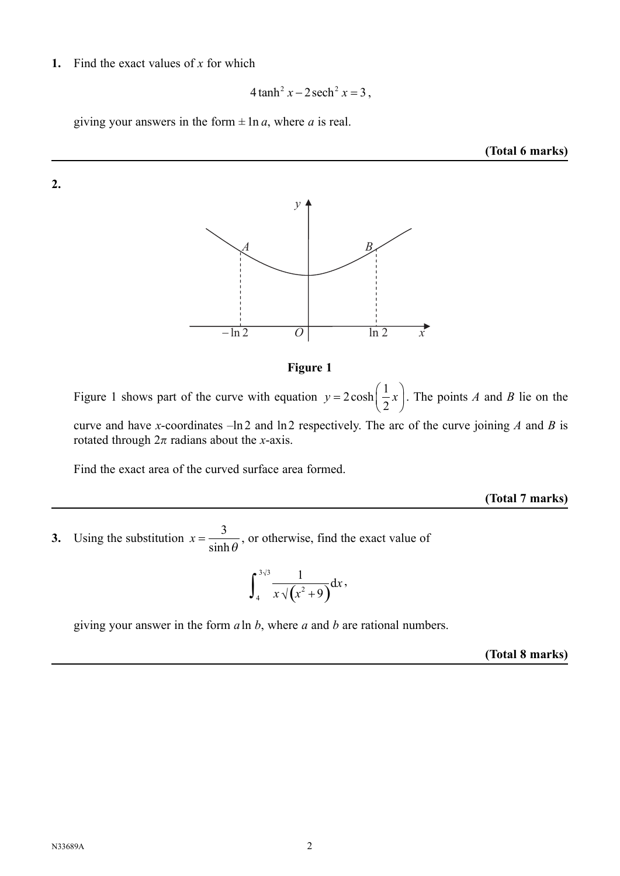### **1.** Find the exact values of *x* for which

$$
4\tanh^2 x - 2\operatorname{sech}^2 x = 3,
$$

giving your answers in the form  $\pm$  ln *a*, where *a* is real.

#### **(Total 6 marks)**





Figure 1 shows part of the curve with equation  $y = 2\cosh\left(\frac{1}{2}x\right)$  $2\cosh\left(\frac{1}{2}x\right)$  $\cosh\left(\frac{1}{2}x\right)$ . The points *A* and *B* lie on the curve and have *x*-coordinates –ln 2 and ln 2 respectively. The arc of the curve joining *A* and *B* is rotated through  $2\pi$  radians about the *x*-axis.

Find the exact area of the curved surface area formed.

#### **(Total 7 marks)**

**3.** Using the substitution  $x = \frac{3}{x-1}$  $sinh\theta$ , or otherwise, find the exact value of

$$
\int_4^{3\sqrt{3}} \frac{1}{x\sqrt{x^2+9}} dx,
$$

giving your answer in the form *a* ln *b*, where *a* and *b* are rational numbers.

**(Total 8 marks)**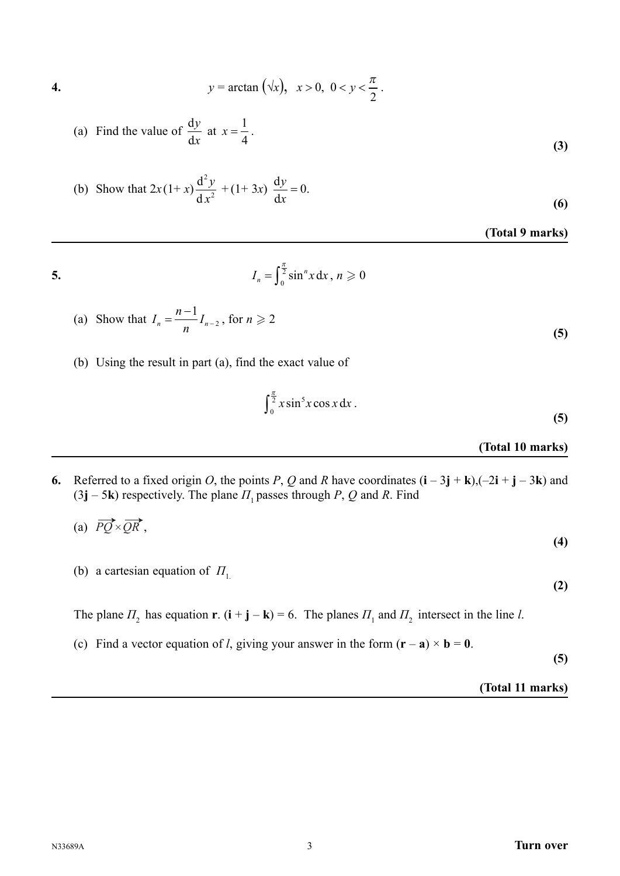4. 
$$
y = \arctan(\sqrt{x}), \ x > 0, \ 0 < y < \frac{\pi}{2}
$$
.

(a) Find the value of 
$$
\frac{dy}{dx}
$$
 at  $x = \frac{1}{4}$ . (3)

(b) Show that 
$$
2x(1+x)\frac{d^2y}{dx^2} + (1+3x)\frac{dy}{dx} = 0.
$$
 (6)

**(Total 9 marks)**

$$
I_n = \int_0^{\frac{\pi}{2}} \sin^n x \, dx \, , \, n \geqslant
$$

(a) Show that 
$$
I_n = \frac{n-1}{n} I_{n-2}, \text{ for } n \geq 2
$$
 (5)

, *n* . 0

(b) Using the result in part (a), find the exact value of

$$
\int_0^{\frac{\pi}{2}} x \sin^5 x \cos x \, dx \,. \tag{5}
$$

## **(Total 10 marks)**

**6.** Referred to a fixed origin *O*, the points *P*, *Q* and *R* have coordinates  $(i - 3j + k)$ ,  $(-2i + j - 3k)$  and  $(3j - 5k)$  respectively. The plane  $\Pi_1$  passes through *P*, *Q* and *R*. Find

$$
(a) \ \overrightarrow{PQ} \times \overrightarrow{QR}, \tag{4}
$$

(b) a cartesian equation of 
$$
\Pi_1
$$

The plane  $\Pi_2$  has equation **r**. (**i** + **j** – **k**) = 6. The planes  $\Pi_1$  and  $\Pi_2$  intersect in the line *l*.

(c) Find a vector equation of *l*, giving your answer in the form  $(\mathbf{r} - \mathbf{a}) \times \mathbf{b} = 0$ .

**(5)**

**(2)**

## **(Total 11 marks)**